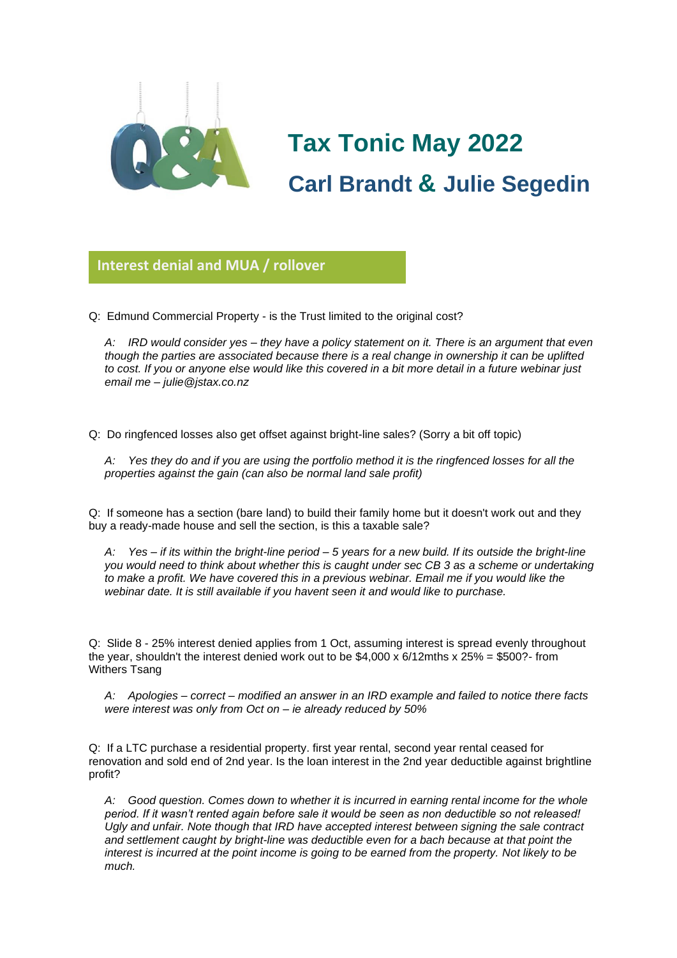

# **Tax Tonic May 2022 Carl Brandt & Julie Segedin**

**Interest denial and MUA / rollover**

Q: Edmund Commercial Property - is the Trust limited to the original cost?

*A: IRD would consider yes – they have a policy statement on it. There is an argument that even though the parties are associated because there is a real change in ownership it can be uplifted to cost. If you or anyone else would like this covered in a bit more detail in a future webinar just email me – julie@jstax.co.nz*

Q: Do ringfenced losses also get offset against bright-line sales? (Sorry a bit off topic)

*A: Yes they do and if you are using the portfolio method it is the ringfenced losses for all the properties against the gain (can also be normal land sale profit)*

Q: If someone has a section (bare land) to build their family home but it doesn't work out and they buy a ready-made house and sell the section, is this a taxable sale?

*A: Yes – if its within the bright-line period – 5 years for a new build. If its outside the bright-line you would need to think about whether this is caught under sec CB 3 as a scheme or undertaking to make a profit. We have covered this in a previous webinar. Email me if you would like the webinar date. It is still available if you havent seen it and would like to purchase.*

Q: Slide 8 - 25% interest denied applies from 1 Oct, assuming interest is spread evenly throughout the year, shouldn't the interest denied work out to be  $$4.000 \times 6/12$ mths x  $25\% = $500$ ?-from Withers Tsang

*A: Apologies – correct – modified an answer in an IRD example and failed to notice there facts were interest was only from Oct on – ie already reduced by 50%*

Q: If a LTC purchase a residential property. first year rental, second year rental ceased for renovation and sold end of 2nd year. Is the loan interest in the 2nd year deductible against brightline profit?

*A: Good question. Comes down to whether it is incurred in earning rental income for the whole period. If it wasn't rented again before sale it would be seen as non deductible so not released! Ugly and unfair. Note though that IRD have accepted interest between signing the sale contract and settlement caught by bright-line was deductible even for a bach because at that point the interest is incurred at the point income is going to be earned from the property. Not likely to be much.*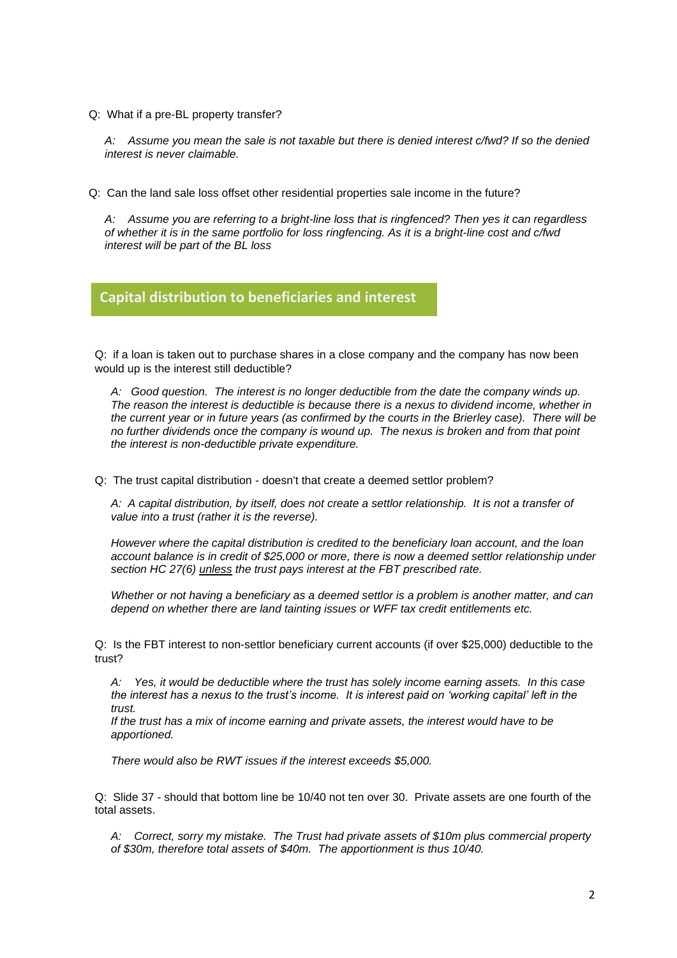Q: What if a pre-BL property transfer?

*A: Assume you mean the sale is not taxable but there is denied interest c/fwd? If so the denied interest is never claimable.*

Q: Can the land sale loss offset other residential properties sale income in the future?

*A: Assume you are referring to a bright-line loss that is ringfenced? Then yes it can regardless of whether it is in the same portfolio for loss ringfencing. As it is a bright-line cost and c/fwd interest will be part of the BL loss*

#### **Capital distribution to beneficiaries and interest**

Q: if a loan is taken out to purchase shares in a close company and the company has now been would up is the interest still deductible?

*A: Good question. The interest is no longer deductible from the date the company winds up. The reason the interest is deductible is because there is a nexus to dividend income, whether in the current year or in future years (as confirmed by the courts in the Brierley case). There will be no further dividends once the company is wound up. The nexus is broken and from that point the interest is non-deductible private expenditure.*

Q: The trust capital distribution - doesn't that create a deemed settlor problem?

*A: A capital distribution, by itself, does not create a settlor relationship. It is not a transfer of value into a trust (rather it is the reverse).*

*However where the capital distribution is credited to the beneficiary loan account, and the loan account balance is in credit of \$25,000 or more, there is now a deemed settlor relationship under section HC 27(6) unless the trust pays interest at the FBT prescribed rate.*

*Whether or not having a beneficiary as a deemed settlor is a problem is another matter, and can depend on whether there are land tainting issues or WFF tax credit entitlements etc.*

Q: Is the FBT interest to non-settlor beneficiary current accounts (if over \$25,000) deductible to the trust?

*A: Yes, it would be deductible where the trust has solely income earning assets. In this case the interest has a nexus to the trust's income. It is interest paid on 'working capital' left in the trust.*

*If the trust has a mix of income earning and private assets, the interest would have to be apportioned.*

*There would also be RWT issues if the interest exceeds \$5,000.*

Q: Slide 37 - should that bottom line be 10/40 not ten over 30. Private assets are one fourth of the total assets.

*A: Correct, sorry my mistake. The Trust had private assets of \$10m plus commercial property of \$30m, therefore total assets of \$40m. The apportionment is thus 10/40.*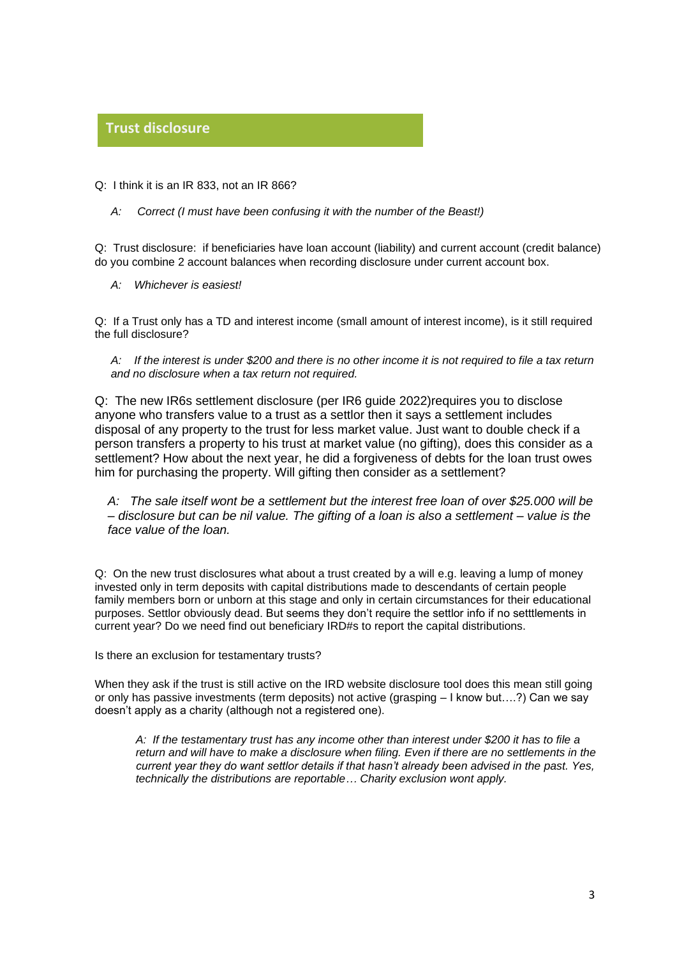## **Trust disclosure**

# Q: I think it is an IR 833, not an IR 866?

*A: Correct (I must have been confusing it with the number of the Beast!)*

Q: Trust disclosure: if beneficiaries have loan account (liability) and current account (credit balance) do you combine 2 account balances when recording disclosure under current account box.

*A: Whichever is easiest!*

Q: If a Trust only has a TD and interest income (small amount of interest income), is it still required the full disclosure?

*A: If the interest is under \$200 and there is no other income it is not required to file a tax return and no disclosure when a tax return not required.*

Q: The new IR6s settlement disclosure (per IR6 guide 2022)requires you to disclose anyone who transfers value to a trust as a settlor then it says a settlement includes disposal of any property to the trust for less market value. Just want to double check if a person transfers a property to his trust at market value (no gifting), does this consider as a settlement? How about the next year, he did a forgiveness of debts for the loan trust owes him for purchasing the property. Will gifting then consider as a settlement?

*A: The sale itself wont be a settlement but the interest free loan of over \$25.000 will be – disclosure but can be nil value. The gifting of a loan is also a settlement – value is the face value of the loan.*

Q: On the new trust disclosures what about a trust created by a will e.g. leaving a lump of money invested only in term deposits with capital distributions made to descendants of certain people family members born or unborn at this stage and only in certain circumstances for their educational purposes. Settlor obviously dead. But seems they don't require the settlor info if no setttlements in current year? Do we need find out beneficiary IRD#s to report the capital distributions.

Is there an exclusion for testamentary trusts?

When they ask if the trust is still active on the IRD website disclosure tool does this mean still going or only has passive investments (term deposits) not active (grasping – I know but….?) Can we say doesn't apply as a charity (although not a registered one).

*A: If the testamentary trust has any income other than interest under \$200 it has to file a return and will have to make a disclosure when filing. Even if there are no settlements in the current year they do want settlor details if that hasn't already been advised in the past. Yes, technically the distributions are reportable… Charity exclusion wont apply.*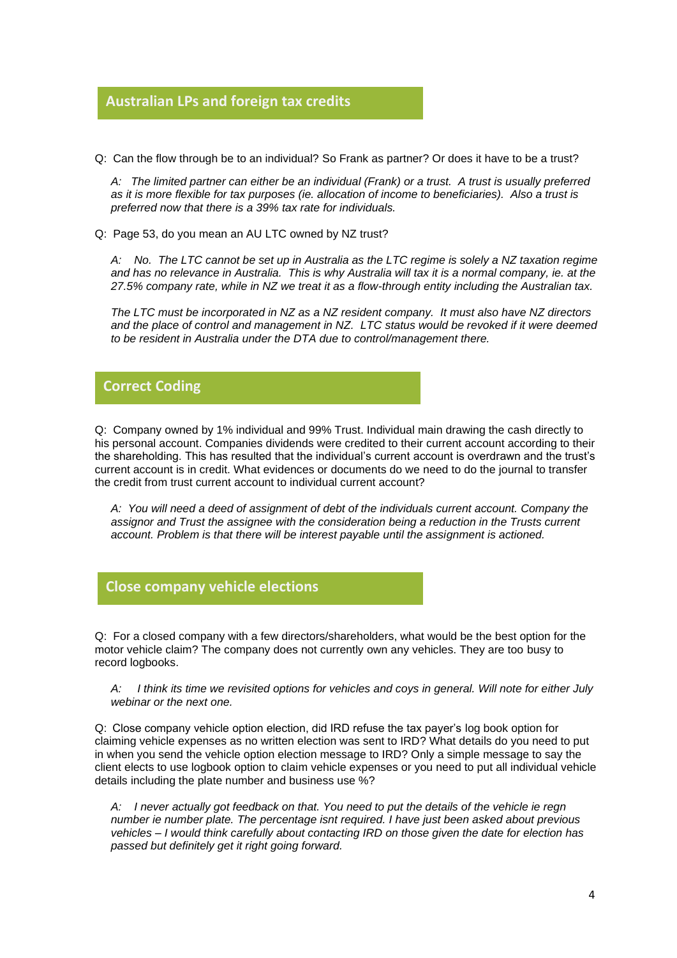#### **Australian LPs and foreign tax credits**

Q: Can the flow through be to an individual? So Frank as partner? Or does it have to be a trust? **Glorio**

*A: The limited partner can either be an individual (Frank) or a trust. A trust is usually preferred as it is more flexible for tax purposes (ie. allocation of income to beneficiaries). Also a trust is preferred now that there is a 39% tax rate for individuals.*

Q: Page 53, do you mean an AU LTC owned by NZ trust?

*A: No. The LTC cannot be set up in Australia as the LTC regime is solely a NZ taxation regime and has no relevance in Australia. This is why Australia will tax it is a normal company, ie. at the 27.5% company rate, while in NZ we treat it as a flow-through entity including the Australian tax.*

*The LTC must be incorporated in NZ as a NZ resident company. It must also have NZ directors and the place of control and management in NZ. LTC status would be revoked if it were deemed to be resident in Australia under the DTA due to control/management there.*

#### **Correct Coding**

Q: Company owned by 1% individual and 99% Trust. Individual main drawing the cash directly to Q: Company owned by 1% individual and 99% Trust. Individual main drawing the cash directly to<br>his personal account. Companies dividends were credited to their current account according to their the shareholding. This has resulted that the individual's current account is overdrawn and the trust's current account is in credit. What evidences or documents do we need to do the journal to transfer the credit from trust current account to individual current account?

*A: You will need a deed of assignment of debt of the individuals current account. Company the assignor and Trust the assignee with the consideration being a reduction in the Trusts current account. Problem is that there will be interest payable until the assignment is actioned.*

#### **Close company vehicle elections**

Q: For a closed company with a few directors/shareholders, what would be the best option for the **Glorio** motor vehicle claim? The company does not currently own any vehicles. They are too busy to record logbooks.

*A: I think its time we revisited options for vehicles and coys in general. Will note for either July webinar or the next one.* 

Q: Close company vehicle option election, did IRD refuse the tax payer's log book option for claiming vehicle expenses as no written election was sent to IRD? What details do you need to put in when you send the vehicle option election message to IRD? Only a simple message to say the client elects to use logbook option to claim vehicle expenses or you need to put all individual vehicle details including the plate number and business use %?

*A: I never actually got feedback on that. You need to put the details of the vehicle ie regn number ie number plate. The percentage isnt required. I have just been asked about previous vehicles – I would think carefully about contacting IRD on those given the date for election has passed but definitely get it right going forward.*